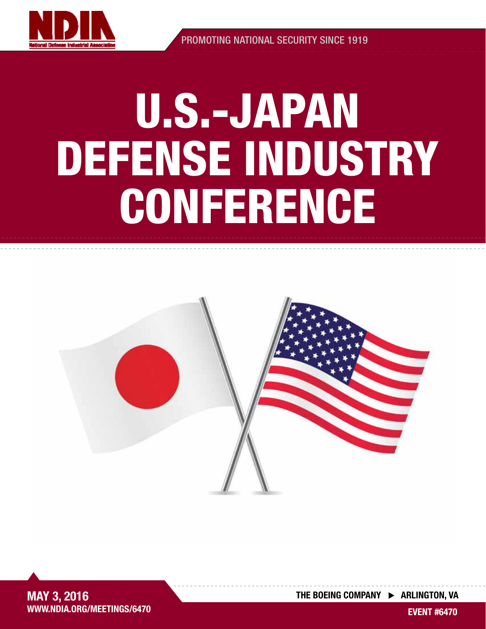

PROMOTING NATIONAL SECURITY SINCE 1919

## U.S.-JAPAN DEFENSE INDUSTRY **CONFERENCE**





THE BOEING COMPANY  $\triangleright$  ARLINGTON, VA

EVENT #6470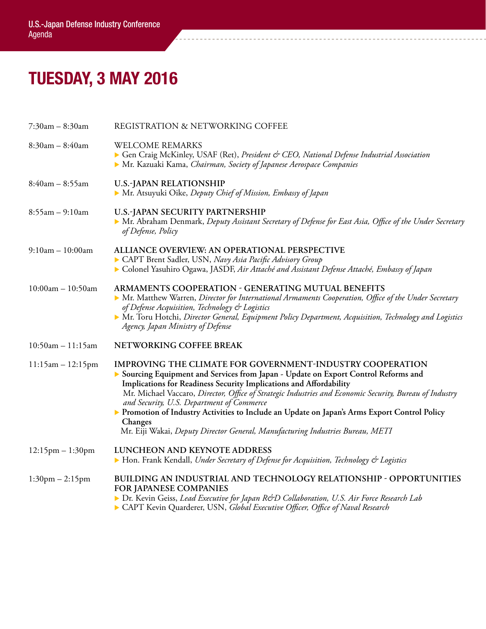## TUESDAY, 3 MAY 2016

| 7:30am - 8:30am       | REGISTRATION & NETWORKING COFFEE                                                                                                                                                                                                                                                                                                                                                                                                                                                                                                                                           |
|-----------------------|----------------------------------------------------------------------------------------------------------------------------------------------------------------------------------------------------------------------------------------------------------------------------------------------------------------------------------------------------------------------------------------------------------------------------------------------------------------------------------------------------------------------------------------------------------------------------|
| $8:30am - 8:40am$     | <b>WELCOME REMARKS</b><br>Gen Craig McKinley, USAF (Ret), President & CEO, National Defense Industrial Association<br>• Mr. Kazuaki Kama, Chairman, Society of Japanese Aerospace Companies                                                                                                                                                                                                                                                                                                                                                                                |
| $8:40am - 8:55am$     | <b>U.S.-JAPAN RELATIONSHIP</b><br>• Mr. Atsuyuki Oike, Deputy Chief of Mission, Embassy of Japan                                                                                                                                                                                                                                                                                                                                                                                                                                                                           |
| $8:55am - 9:10am$     | U.S.-JAPAN SECURITY PARTNERSHIP<br>• Mr. Abraham Denmark, Deputy Assistant Secretary of Defense for East Asia, Office of the Under Secretary<br>of Defense, Policy                                                                                                                                                                                                                                                                                                                                                                                                         |
| $9:10am - 10:00am$    | ALLIANCE OVERVIEW: AN OPERATIONAL PERSPECTIVE<br>CAPT Brent Sadler, USN, Navy Asia Pacific Advisory Group<br>Colonel Yasuhiro Ogawa, JASDF, Air Attaché and Assistant Defense Attaché, Embassy of Japan                                                                                                                                                                                                                                                                                                                                                                    |
| $10:00am - 10:50am$   | ARMAMENTS COOPERATION - GENERATING MUTUAL BENEFITS<br>Mr. Matthew Warren, Director for International Armaments Cooperation, Office of the Under Secretary<br>of Defense Acquisition, Technology & Logistics<br>• Mr. Toru Hotchi, Director General, Equipment Policy Department, Acquisition, Technology and Logistics<br>Agency, Japan Ministry of Defense                                                                                                                                                                                                                |
| $10:50am - 11:15am$   | NETWORKING COFFEE BREAK                                                                                                                                                                                                                                                                                                                                                                                                                                                                                                                                                    |
| $11:15am - 12:15pm$   | IMPROVING THE CLIMATE FOR GOVERNMENT-INDUSTRY COOPERATION<br>Sourcing Equipment and Services from Japan - Update on Export Control Reforms and<br>Implications for Readiness Security Implications and Affordability<br>Mr. Michael Vaccaro, Director, Office of Strategic Industries and Economic Security, Bureau of Industry<br>and Security, U.S. Department of Commerce<br>> Promotion of Industry Activities to Include an Update on Japan's Arms Export Control Policy<br>Changes<br>Mr. Eiji Wakai, Deputy Director General, Manufacturing Industries Bureau, METI |
| $12:15$ pm $-1:30$ pm | LUNCHEON AND KEYNOTE ADDRESS<br>• Hon. Frank Kendall, Under Secretary of Defense for Acquisition, Technology & Logistics                                                                                                                                                                                                                                                                                                                                                                                                                                                   |
| $1:30$ pm $- 2:15$ pm | BUILDING AN INDUSTRIAL AND TECHNOLOGY RELATIONSHIP - OPPORTUNITIES<br><b>FOR JAPANESE COMPANIES</b><br>Dr. Kevin Geiss, Lead Executive for Japan R&D Collaboration, U.S. Air Force Research Lab<br>CAPT Kevin Quarderer, USN, Global Executive Officer, Office of Naval Research                                                                                                                                                                                                                                                                                           |